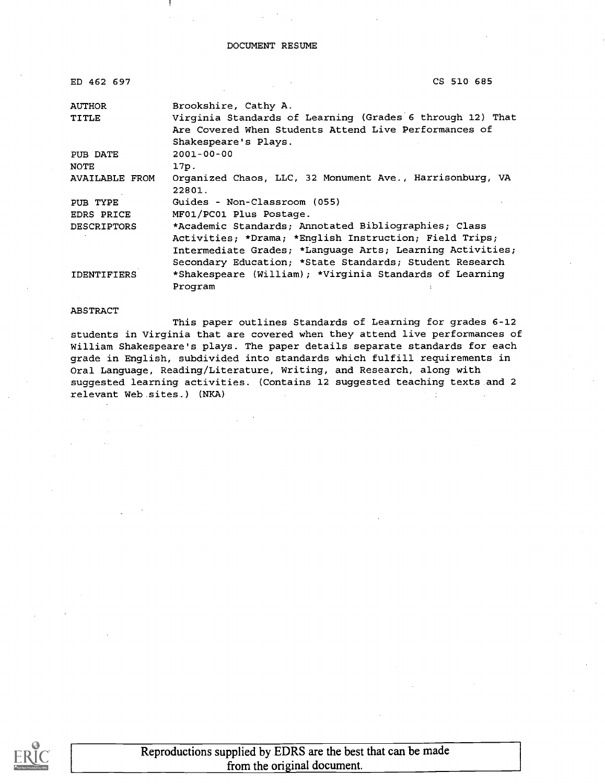#### DOCUMENT RESUME

| ED 462 697         | CS 510 685                                                |
|--------------------|-----------------------------------------------------------|
| <b>AUTHOR</b>      | Brookshire, Cathy A.                                      |
| TITLE              | Virginia Standards of Learning (Grades 6 through 12) That |
|                    | Are Covered When Students Attend Live Performances of     |
|                    | Shakespeare's Plays.                                      |
| PUB DATE           | $2001 - 00 - 00$                                          |
| <b>NOTE</b>        | 17p.                                                      |
| AVAILABLE FROM     | Organized Chaos, LLC, 32 Monument Ave., Harrisonburg, VA  |
|                    | 22801.                                                    |
| PUB TYPE           | Guides - Non-Classroom (055)                              |
| EDRS PRICE         | MF01/PC01 Plus Postage.                                   |
| <b>DESCRIPTORS</b> | *Academic Standards; Annotated Bibliographies; Class      |
|                    | Activities; *Drama; *English Instruction; Field Trips;    |
|                    | Intermediate Grades; *Language Arts; Learning Activities; |
|                    | Secondary Education; *State Standards; Student Research   |
| <b>IDENTIFIERS</b> | *Shakespeare (William); *Virginia Standards of Learning   |
|                    | Program                                                   |

ABSTRACT

This paper outlines Standards of Learning for grades 6-12 students in Virginia that are covered when they attend live performances of William Shakespeare's plays. The paper details separate standards for each grade in English, subdivided into standards which fulfill requirements in Oral Language, Reading/Literature, Writing, and Research, along with suggested learning activities. (Contains 12 suggested teaching texts and 2 relevant Web sites.) (NKA)



Reproductions supplied by EDRS are the best that can be made from the original document.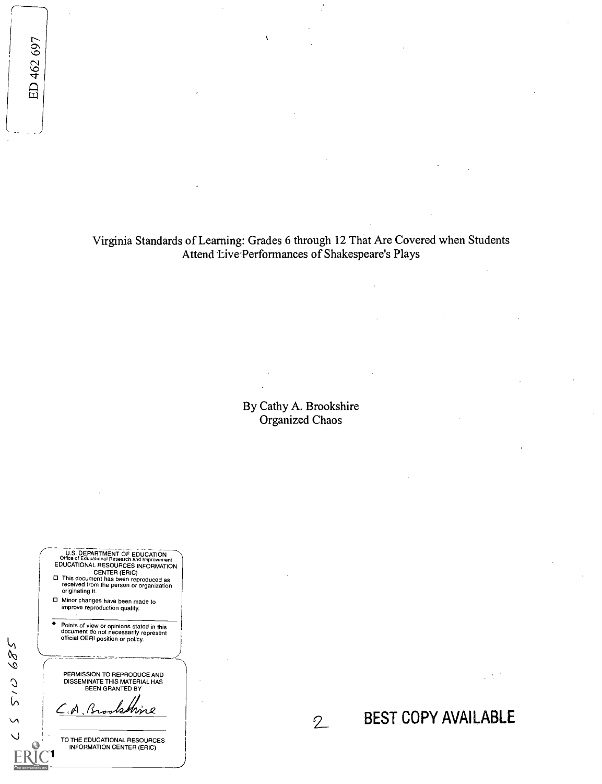Virginia Standards of Learning: Grades 6 through 12 That Are Covered when Students Attend Live<sup>-</sup>Performances of Shakespeare's Plays

 $\lambda$ 

By Cathy A. Brookshire Organized Chaos

2\_ BEST COPY AVAILABLE

**CHE. DEPARTMENT OF EDUCATION**<br>Office of Educational Research and Improvement<br>EDUCATIONAL RESOURCES INFORMATION CENTER (ERIC) O This document has been reproduced as received from the person or organization originating it. O Minor changes have been made to improve reproduction quality. Points of view or opinions stated in this document do not necessarily represent official OERI position or policy. PERMISSION TO REPRODUCE AND<br>DISSEMINATE THIS MATERIAL HAS<br>BEEN GRANTED BY Brookhine TO THE EDUCATIONAL RESOURCES INFORMATION CENTER (ERIC)

529

015

 $\mathsf{v}$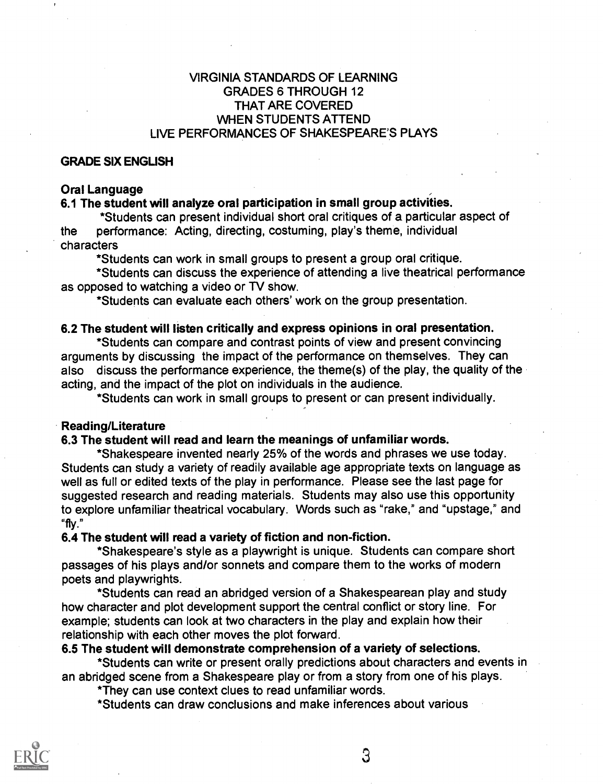## VIRGINIA STANDARDS OF LEARNING GRADES 6 THROUGH 12 THAT ARE COVERED WHEN STUDENTS ATTEND LIVE PERFORMANCES OF SHAKESPEARE'S PLAYS

## GRADE SIX ENGLISH

#### Oral Language

## 6.1 The student will analyze oral participation in small group activities.

\*Students can present individual short oral critiques of a particular aspect of the performance: Acting, directing, costuming, play's theme, individual characters

\*Students can work in small groups to present a group oral critique.

\*Students can discuss the experience of attending a live theatrical performance as opposed to watching a video or TV show.

\*Students can evaluate each others' work on the group presentation.

#### 6.2 The student will listen critically and express opinions in oral presentation.

\*Students can compare and contrast points of view and present convincing arguments by discussing the impact of the performance on themselves. They can also discuss the performance experience, the theme(s) of the play, the quality of the acting, and the impact of the plot on individuals in the audience.

\*Students can work in small groups to present or can present individually.

#### Reading/Literature

## 6.3 The student will read and learn the meanings of unfamiliar words.

\*Shakespeare invented nearly 25% of the words and phrases we use today. Students can study a variety of readily available age appropriate texts on language as well as full or edited texts of the play in performance. Please see the last page for suggested research and reading materials. Students may also use this opportunity to explore unfamiliar theatrical vocabulary. Words such as "rake," and "upstage," and "fly."

#### 6.4 The student will read a variety of fiction and non-fiction.

\*Shakespeare's style as a playwright is unique. Students can compare short passages of his plays and/or sonnets and compare them to the works of modern poets and playwrights.

\*Students can read an abridged version of a Shakespearean play and study how character and plot development support the central conflict or story line. For example; students can look at two characters in the play and explain how their relationship with each other moves the plot forward.

## 6.5 The student will demonstrate comprehension of a variety of selections.

\*Students can write or present orally predictions about characters and events in an abridged scene from a Shakespeare play or from a story from one of his plays.

\*They can use context clues to read unfamiliar words.

\*Students can draw conclusions and make inferences about various



3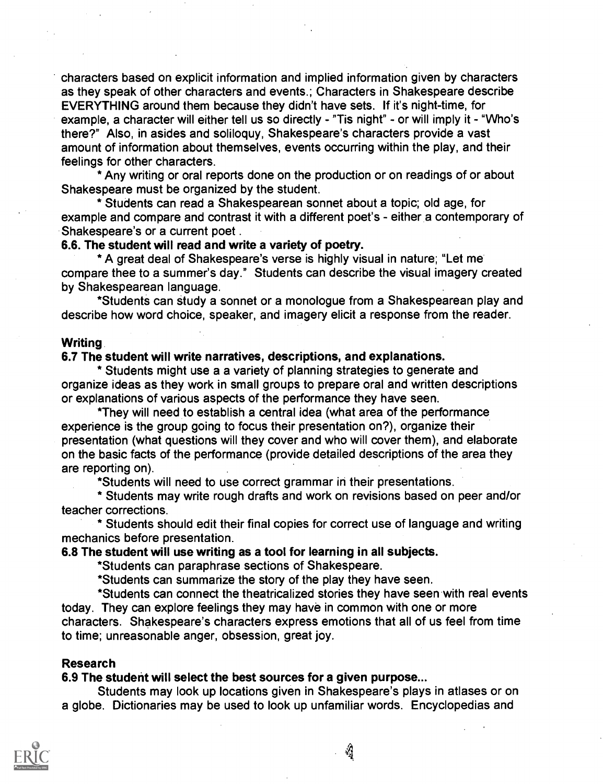characters based on explicit information and implied information given by characters as they speak of other characters and events.; Characters in Shakespeare describe EVERYTHING around them because they didn't have sets. If it's night-time, for example, a character will either tell us so directly - "Tis night" - or will imply it - "Who's there?" Also, in asides and soliloquy, Shakespeare's characters provide a vast amount of information about themselves, events occurring within the play, and their feelings for other characters.

\*Any writing or oral reports done on the production or on readings of or about Shakespeare must be organized by the student.

\* Students can read a Shakespearean sonnet about a topic; old age, for example and compare and contrast it with a different poet's - either a contemporary of Shakespeare's or a current poet .

## 6.6. The student will read and write a variety of poetry.

\*A great deal of Shakespeare's verse is highly visual in nature; "Let me compare thee to a summer's day." Students can describe the visual imagery created by Shakespearean language.

\*Students can study a sonnet or a monologue from a Shakespearean play and describe how word choice, speaker, and imagery elicit a response from the reader.

## Writing

#### 6.7 The student will write narratives, descriptions, and explanations.

\* Students might use a a variety of planning strategies to generate and organize ideas as they work in small groups to prepare oral and written descriptions or explanations of various aspects of the performance they have seen.

\*They will need to establish a central idea (what area of the performance experience is the group going to focus their presentation on?), organize their presentation (what questions will they cover and who will cover them), and elaborate on the basic facts of the performance (provide detailed descriptions of the area they are reporting on).

\*Students will need to use correct grammar in their presentations.

\* Students may write rough drafts and work on revisions based on peer and/or teacher corrections.

\* Students should edit their final copies for correct use of language and writing mechanics before presentation.

#### 6.8 The student will use writing as a tool for learning in all subjects.

\*Students can paraphrase sections of Shakespeare.

\*Students can summarize the story of the play they have seen.

\*Students can connect the theatricalized stories they have seen with real events today. They can explore feelings they may have in common with one or more characters. Shakespeare's characters express emotions that all of us feel from time to time; unreasonable anger, obsession, great joy.

#### Research

#### 6.9 The student will select the best sources for a given purpose...

Students may look up locations given in Shakespeare's plays in atlases or on a globe. Dictionaries may be used to look up unfamiliar words. Encyclopedias and

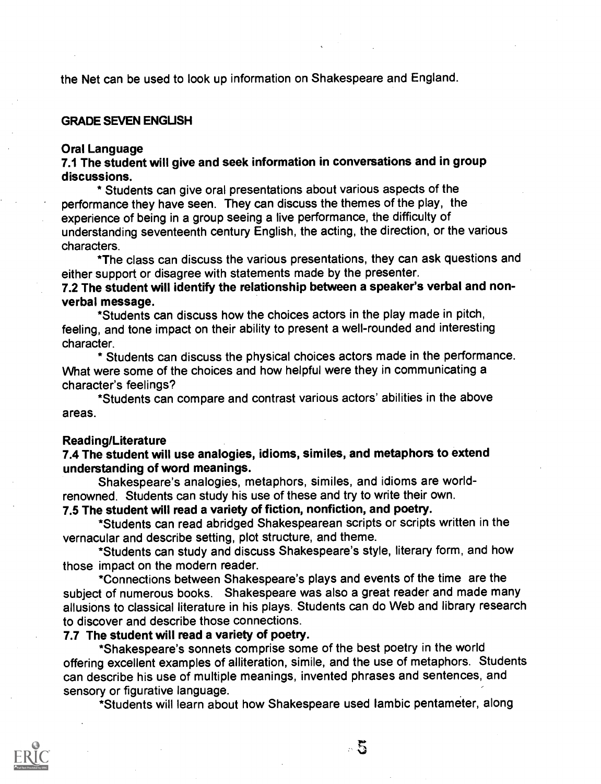the Net can be used to look up information on Shakespeare and England.

### GRADE SEVEN ENGUSH

#### Oral Language

## 7.1 The student will give and seek information in conversations and in group discussions.

\* Students can give oral presentations about various aspects of the performance they have seen. They can discuss the themes of the play, the experience of being in a group seeing a live performance, the difficulty of understanding seventeenth century English, the acting, the direction, or the various characters.

\*The class can discuss the various presentations, they can ask questions and either support or disagree with statements made by the presenter.

## 7.2 The student will identify the relationship between a speaker's verbal and nonverbal message.

\*Students can discuss how the choices actors in the play made in pitch, feeling, and tone impact on their ability to present a well-rounded and interesting character.

\* Students can discuss the physical choices actors made in the performance. What were some of the choices and how helpful were they in communicating a character's feelings?

\*Students can compare and contrast various actors' abilities in the above areas.

#### Reading/Literature

## 7.4 The student will use analogies, idioms, similes, and metaphors to extend understanding of word meanings.

Shakespeare's analogies, metaphors, similes, and idioms are worldrenowned. Students can study his use of these and try to write their own.

## 7.5 The student will read a variety of fiction, nonfiction, and poetry.

\*Students can read abridged Shakespearean scripts or scripts written in the vernacular and describe setting, plot structure, and theme.

\*Students can study and discuss Shakespeare's style, literary form, and how those impact on the modern reader.

\*Connections between Shakespeare's plays and events of the time are the subject of numerous books. Shakespeare was also a great reader and made many allusions to classical literature in his plays. Students can do Web and library research to discover and describe those connections.

## 7.7 The student will read a variety of poetry.

\*Shakespeare's sonnets comprise some of the best poetry in the world offering excellent examples of alliteration, simile, and the use of metaphors. Students can describe his use of multiple meanings, invented phrases and sentences, and sensory or figurative language.

\*Students will learn about how Shakespeare used Iambic pentameter, along

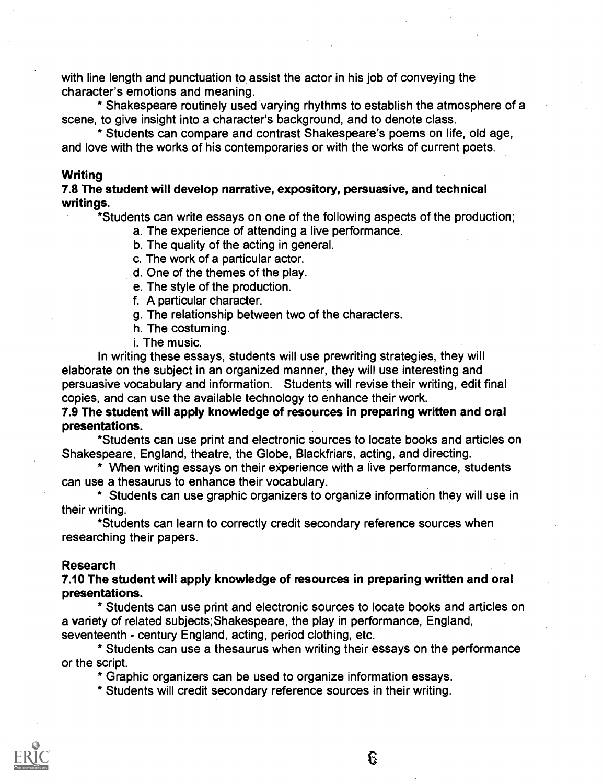with line length and punctuation to assist the actor in his job of conveying the character's emotions and meaning.

\* Shakespeare routinely used varying rhythms to establish the atmosphere of a scene, to give insight into a character's background, and to denote class.

\* Students can compare and contrast Shakespeare's poems on life, old age, and love with the works of his contemporaries or with the works of current poets.

#### **Writing**

7.8 The student will develop narrative, expository, persuasive, and technical writings.

\*Students can write essays on one of the following aspects of the production;

- a. The experience of attending a live performance.
- b. The quality of the acting in general.
- c. The work of a particular actor.
- d. One of the themes of the play.
- e. The style of the production.
- f. A particular character.
- g. The relationship between two of the characters.
- h. The costuming.
- i. The music.

In writing these essays, students will use prewriting strategies, they will elaborate on the subject in an organized manner, they will use interesting and persuasive vocabulary and information. Students will revise their writing, edit final copies, and can use the available technology to enhance their work.

7.9 The student will apply knowledge of resources in preparing written and oral presentations.

\*Students can use print and electronic sources to locate books and articles on Shakespeare, England, theatre, the Globe, Blackfriars, acting, and directing.

\* When writing essays on their experience with a live performance, students can use a thesaurus to enhance their vocabulary.

\* Students can use graphic organizers to organize information they will use in their writing.

\*Students can learn to correctly credit secondary reference sources when researching their papers.

#### Research

## 7.10 The student will apply knowledge of resources in preparing written and oral presentations.

\* Students can use print and electronic sources to locate books and articles on a variety of related subjects,Shakespeare, the play in performance, England, seventeenth - century England, acting, period clothing, etc.

\* Students can use a thesaurus when writing their essays on the performance or the script.

\* Graphic organizers can be used to organize information essays.

\* Students will credit secondary reference sources in their writing.

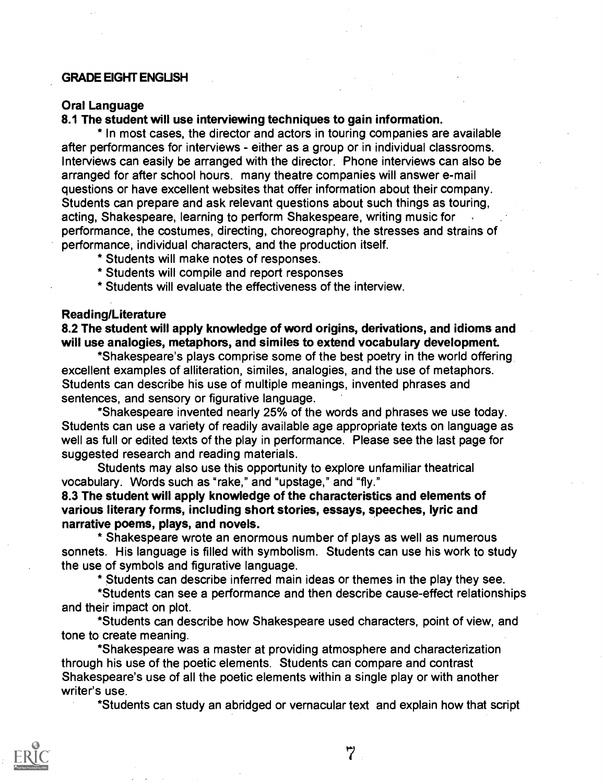## GRADE EIGHT ENGUSH

## Oral Language

8.1 The student will use interviewing techniques to gain information.

\* In most cases, the director and actors in touring companies are available after performances for interviews - either as a group or in individual classrooms. Interviews can easily be arranged with the director. Phone interviews can also be arranged for after school hours. many theatre companies will answer e-mail questions or have excellent websites that offer information about their company. Students can prepare and ask relevant questions about such things as touring, acting, Shakespeare, learning to perform Shakespeare, writing music for performance, the costumes, directing, choreography, the stresses and strains of performance, individual characters, and the production itself.

- \* Students will make notes of responses.
- \* Students will compile and report responses
- \* Students will evaluate the effectiveness of the interview.

#### Reading/Literature

8.2 The student will apply knowledge of word origins, derivations, and idioms and will use analogies, metaphors, and similes to extend vocabulary development.

\*Shakespeare's plays comprise some of the best poetry in the world offering excellent examples of alliteration, similes, analogies, and the use of metaphors. Students can describe his use of multiple meanings, invented phrases and sentences, and sensory or figurative language.

\*Shakespeare invented nearly 25% of the words and phrases we use today. Students can use a variety of readily available age appropriate texts on language as well as full or edited texts of the play in performance. Please see the last page for suggested research and reading materials.

Students may also use this opportunity to explore unfamiliar theatrical vocabulary. Words such as "rake," and "upstage," and "fly."

8.3 The student will apply knowledge of the characteristics and elements of various literary forms, including short stories, essays, speeches, lyric and narrative poems, plays, and novels.

\* Shakespeare wrote an enormous number of plays as well as numerous sonnets. His language is filled with symbolism. Students can use his work to study the use of symbols and figurative language.

\* Students can describe inferred main ideas or themes in the play they see.

\*Students can see a performance and then describe cause-effect relationships and their impact on plot.

\*Students can describe how Shakespeare used characters, point of view, and tone to create meaning.

\*Shakespeare was a master at providing atmosphere and characterization through his use of the poetic elements. Students can compare and contrast Shakespeare's use of all the poetic elements within a single play or with another writer's use.

\*Students can study an abridged or vernacular text and explain how that script



 $\ddot{7}$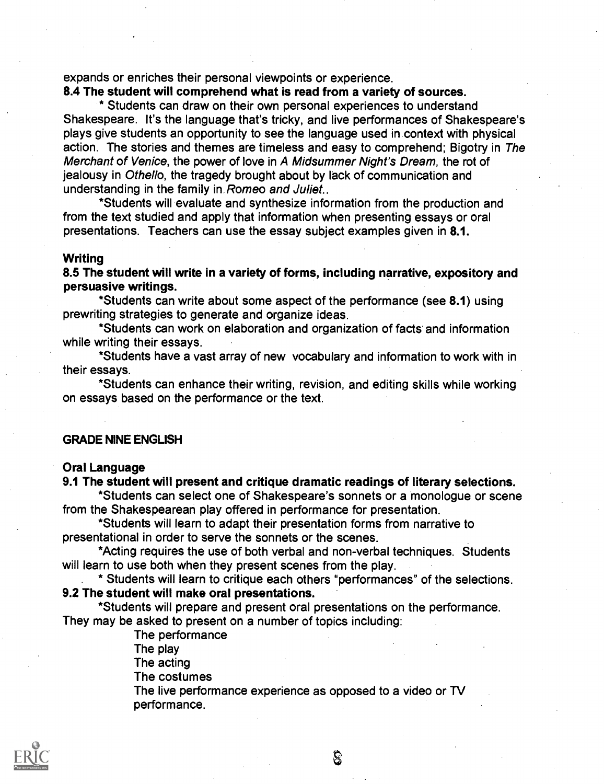expands or enriches their personal viewpoints or experience.

## 8.4 The student will comprehend what is read from a variety of sources.

\* Students can draw on their own personal experiences to understand Shakespeare. It's the language that's tricky, and live performances of Shakespeare's plays give students an opportunity to see the language used in context with physical action. The stories and themes are timeless and easy to comprehend; Bigotry in The Merchant of Venice, the power of love in A Midsummer Night's Dream, the rot of jealousy in Othello, the tragedy brought about by lack of communication and understanding in the family in Romeo and Juliet..

\*Students will evaluate and synthesize information from the production and from the text studied and apply that information when presenting essays or oral presentations. Teachers can use the essay subject examples given in 8.1.

#### **Writing**

8.5 The student will write in a variety of forms, including narrative, expository and persuasive writings.

\*Students can write about some aspect of the performance (see 8.1) using prewriting strategies to generate and organize ideas.

\*Students can work on elaboration and organization of facts and information while writing their essays.

\*Students have a vast array of new vocabulary and information to work with in their essays.

\*Students can enhance their writing, revision, and editing skills while working on essays based on the performance or the text.

## GRADE NINE ENGLISH

#### Oral Language

#### 9.1 The student will present and critique dramatic readings of literary selections.

\*Students can select one of Shakespeare's sonnets or a monologue or scene from the Shakespearean play offered in performance for presentation.

\*Students will learn to adapt their presentation forms from narrative to presentational in order to serve the sonnets or the scenes.

\*Acting requires the use of both verbal and non-verbal techniques. Students will learn to use both when they present scenes from the play.

\* Students will learn to critique each others "performances" of the selections. 9.2 The student will make oral presentations.

\*Students will prepare and present oral presentations on the performance. They may be asked to present on a number of topics including:

> The performance The play

The acting

The costumes

The live performance experience as opposed to a video or TV performance.

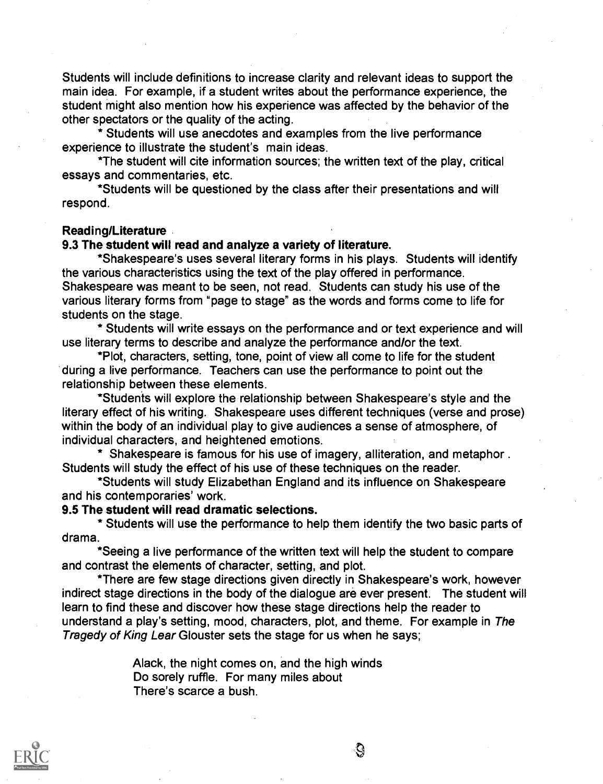Students will include definitions to increase clarity and relevant ideas to support the main idea. For example, if a student writes about the performance experience, the student might also mention how his experience was affected by the behavior of the other spectators or the quality of the acting.

\* Students will use anecdotes and examples from the live performance experience to illustrate the student's main ideas.

\*The student will cite information sources; the written text of the play, critical essays and commentaries, etc.

\*Students will be questioned by the class after their presentations and will respond.

#### Reading/Literature

## 9.3 The student will read and analyze a variety of literature.

\*Shakespeare's uses several literary forms in his plays. Students will identify the various characteristics using the text of the play offered in performance. Shakespeare was meant to be seen, not read. Students can study his use of the various literary forms from "page to stage" as the words and forms come to life for students on the stage.

\* Students will write essays on the performance and or text experience and will use literary terms to describe and analyze the performance and/or the text.

\*Plot, characters, setting, tone, point of view all come to life for the student during a live performance. Teachers can use the performance to point out the relationship between these elements.

\*Studenis will explore the relationship between Shakespeare's style and the literary effect of his writing. Shakespeare uses different techniques (verse and prose) within the body of an individual play to give audiences a sense of atmosphere, of individual characters, and heightened emotions.

\* Shakespeare is famous for his use of imagery, alliteration, and metaphor.. Students will study the effect of his use of these techniques on the reader.

\*Students will study Elizabethan England and its influence on Shakespeare and his contemporaries' work.

#### 9.5 The student will read dramatic selections.

\* Students will use the performance to help them identify the two basic parts of drama.

\*Seeing a live performance of the written text will help the student to compare and contrast the elements of character, setting, and plot.

\*There are few stage directions given directly in Shakespeare's work, however indirect stage directions in the body of the dialogue are ever present. The student will learn to find these and discover how these stage directions help the reader to understand a play's setting, mood, characters, plot, and theme. For example in The Tragedy of King Lear Glouster sets the stage for us when he says;

> Alack, the night comes on, and the high winds Do sorely ruffle. For many miles about There's scarce a bush.

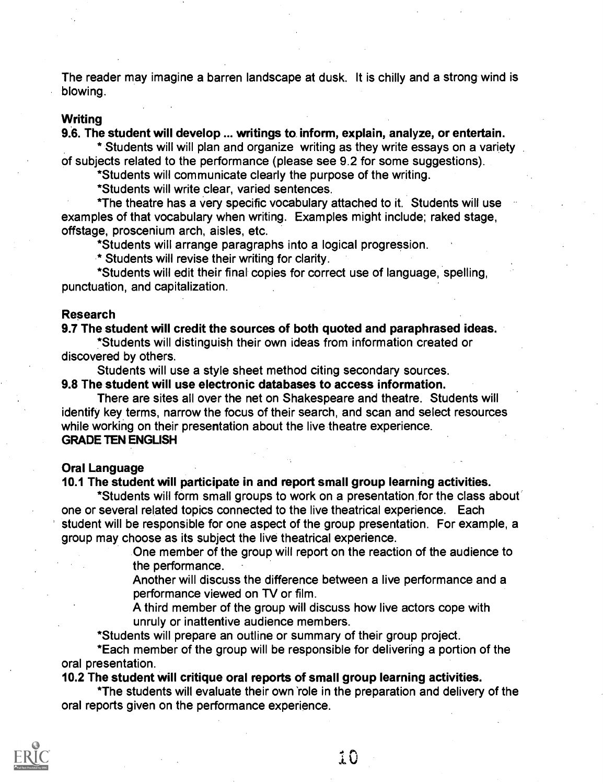The reader may imagine a barren landscape at dusk. It is chilly and a strong wind is blowing.

#### **Writing**

9.8. The student will develop ... writings to, inform, explain, analyze, or entertain.

\* Students will will plan and organize writing as they write essays on a variety of subjects related to the performance (please see 9.2 for some suggestions).

\*Students will communicate clearly the purpose of the writing.

\*Students will write clear, varied sentences.

\*The theatre has a very specific vocabulary attached to it. Students will use examples of that vocabulary when writing. Examples might include; raked stage, offstage, proscenium arch, aisles, etc.

\*Students will arrange paragraphs into a logical progression.

\* Students will revise their writing for clarity.

\*Students will edit their final copies for correct use of language, spelling, punctuation, and capitalization.

#### Research

## 9.7 The student will credit the sources of both quoted and paraphrased ideas.

\*Students will distinguish their own ideas from information created or discovered by others.

Students will use a style sheet method citing secondary sources.

#### 9.8 The student will use electronic databases to access information.

There are sites all over the net on Shakespeare and theatre. Students will identify key terms, narrow the focus of their search, and scan and select resources while working on their presentation about the live theatre experience. GRADE TEN ENGLISH

#### Oral Language

#### 10.1 The student will participate in and report small group learning activities.

\*Students will form small groups to work on a presentation for the class about one or several related topics connected to the live theatrical experience. Each student will be responsible for one aspect of the group presentation. For example, a group may choose as its subject the live theatrical experience.

> One member of the group will report on the reaction of the audience to the performance.

Another will discuss the difference between a live performance and a performance viewed on TV or film.

A third member of the group will discuss how live actors cope with unruly or inattentive audience members.

\*Students will prepare an outline or summary of their group project.

\*Each member of the group will be responsible for delivering a portion of the oral presentation.

## 10.2 The student will critique oral reports of small group learning activities.

\*The students will evaluate their own 'role in the preparation and delivery of the oral reports given on the performance experience.



10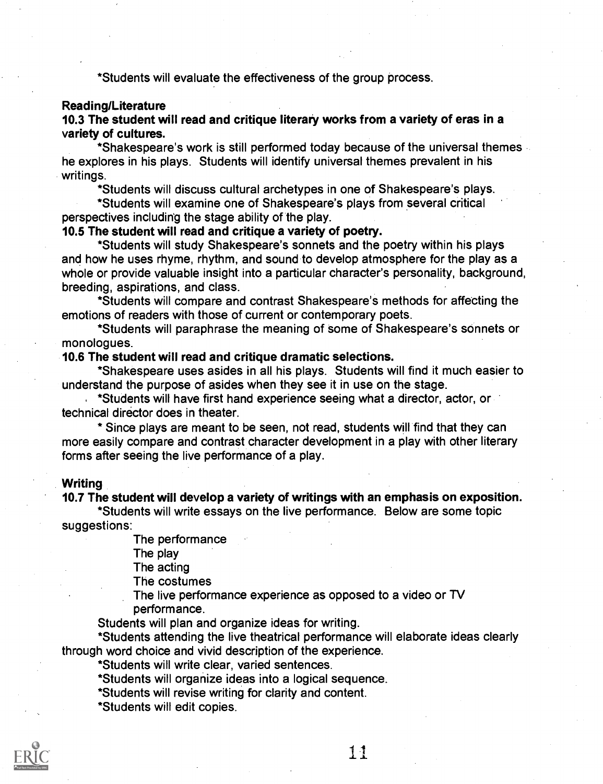\*Students will evaluate the effectiveness of the group process.

## Reading/Literature

10.3 The student will read and critique literary works from a variety of eras in a variety of cultures.

\*Shakespeare's work is still performed today because of the universal themes he explores in his plays. Students will identify universal themes prevalent in his writings.

\*Students will discuss cultural archetypes in one of Shakespeare's plays.

\*Students will examine one of Shakespeare's plays from several critical perspectives including the stage ability of the play.

## 10.5 The student will read and critique a variety of poetry.

\*Students will study Shakespeare's sonnets and the poetry within his plays and how he uses rhyme, rhythm, and sound to develop atmosphere for the play as a whole or provide valuable insight into a particular character's personality, background, breeding, aspirations, and class.

\*Students will compare and contrast Shakespeare's methods for affecting the emotions of readers with those of current or contemporary poets.

\*Students will paraphrase the meaning of some of Shakespeare's sonnets or monologues.

#### 10.6 The student will read and critique dramatic selections.

\*Shakespeare uses asides in all his plays. Students will find it much easier to understand the purpose of asides when they see it in use on the stage.

\*Students will have first hand experience seeing what a director, actor, or technical director does in theater.

\* Since plays are meant to be seen, not read, students will find that they can more easily compare and contrast character development in a play with other literary forms after seeing the live performance of a play.

#### **Writing**

#### 10.7 The student will develop a variety of writings with an emphasis on exposition.

\*Students will write essays on the live performance. Below are some topic suggestions:

The performance

The play

The acting

The costumes

The live performance experience as opposed to a video or TV performance.

Students will plan and organize ideas for writing.

\*Students attending the live theatrical performance will elaborate ideas clearly through word choice and vivid description of the experience.

\*Students will write clear, varied sentences.

\*Students will organize ideas into a logical sequence.

\*Students will revise writing for clarity and content.

\*Students will edit copies.

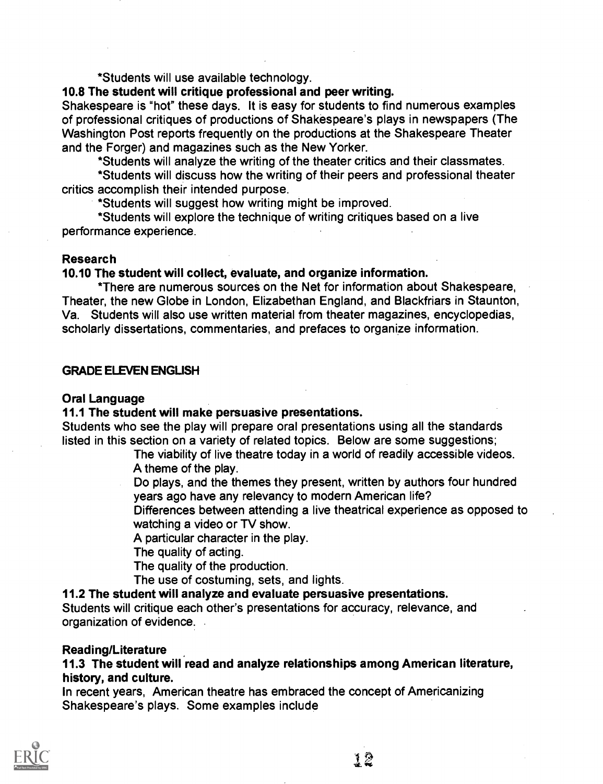\*Students will use available technology.

## 10.8 The student will critique professional and peer writing.

Shakespeare is "hot" these days. It is easy for students to find numerous examples of professional critiques of productions of Shakespeare's plays in newspapers (The Washington Post reports frequently on the productions at the Shakespeare Theater and the Forger) and magazines such as the New Yorker.

\*Students will analyze the writing of the theater critics and their classmates.

\*Students will discuss how the writing of their peers and professional theater critics accomplish their intended purpose.

\*Students will suggest how writing might be improved.

\*Students will explore the technique of writing critiques based on a live performance experience.

## Research

## 10.10 The student will collect, evaluate, and organize information.

\*There are numerous sources on the Net for information about Shakespeare, Theater, the new Globe in London, Elizabethan England, and Blackfriars in Staunton, Va. Students will also use written material from theater magazines, encyclopedias, scholarly dissertations, commentaries, and prefaces to organize information.

## **GRADE ELEVEN ENGLISH**

## Oral Language

## 11.1 The student will make persuasive presentations.

Students who see the play will prepare oral presentations using all the standards listed in this section on a variety of related topics. Below are some suggestions;

The viability of live theatre today in a world of readily accessible videos. A theme of the play.

Do plays, and the themes they present, written by authors four hundred years ago have any relevancy to modern American life?

Differences between attending a live theatrical experience as opposed to watching a video or TV show.

A particular character in the play.

The quality of acting.

The quality of the production.

The use of costuming, sets, and lights.

## 11.2 The student will analyze and evaluate persuasive presentations.

Students will critique each other's presentations for accuracy, relevance, and organization of evidence.

## Reading/Literature

## 11.3 The student will read and analyze relationships among American literature, history, and culture.

In recent years, American theatre has embraced the concept of Americanizing Shakespeare's plays. Some examples include

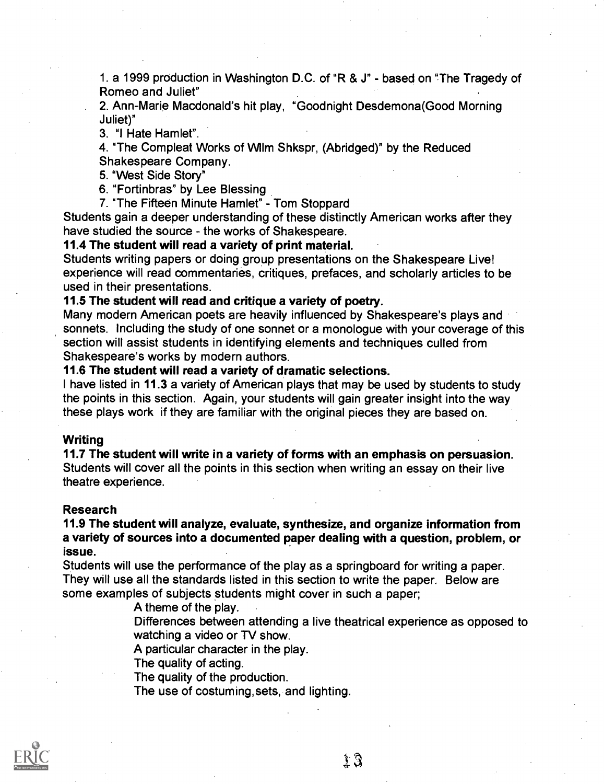1. a 1999 production in Washington D.C. of "R & J" - based on "The Tragedy of Romeo and Juliet"

2. Ann-Marie Macdonald's hit play, "Goodnight Desdemona(Good Morning Juliet)"

3. "I Hate Hamlet".

4. "The Compleat Works of WIlm Shkspr, (Abridged)" by the Reduced

Shakespeare Company.

5. "West Side Story"

6. "Fortinbras" by Lee Blessing

7. "The Fifteen Minute Hamlet" - Tom Stoppard

Students gain a deeper understanding of these distinctly American works after they have studied the source - the works of Shakespeare.

11.4 The student will read a variety of print material.

Students writing papers or doing group presentations on the Shakespeare Live! experience will read commentaries, critiques, prefaces, and scholarly articles to be used in their presentations.

## 11.5 The student will read and critique a variety of poetry.

Many modern American poets are heavily influenced by Shakespeare's plays and sonnets. Including the study of one sonnet or a monologue with your coverage of this section will assist students in identifying elements and techniques culled from Shakespeare's works by modern authors.

### 11.6 The student will read a variety of dramatic selections.

I have listed in 11.3 a variety of American plays that may be used by students to study the points in this section. Again, your students will gain greater insight into the way these plays work if they are familiar with the original pieces they are based on.

#### Writing

11.7 The student will write in a variety of forms with an emphasis on persuasion. Students will cover all the points in this section when writing an essay on their live theatre experience.

#### Research

11.9 The student will analyze, evaluate, synthesize, and organize information from a variety of sources into a documented paper dealing with a question, problem, or issue.

Students will use the performance of the play as a springboard for writing a paper. They will use all the standards listed in this section to write the paper. Below are some examples of subjects students might cover in such a paper;

A theme of the play.

Differences between attending a live theatrical experience as opposed to watching a video or TV show.

A particular character in the play.

The quality of acting.

The quality of the production.

The use of costuming, sets, and lighting.



13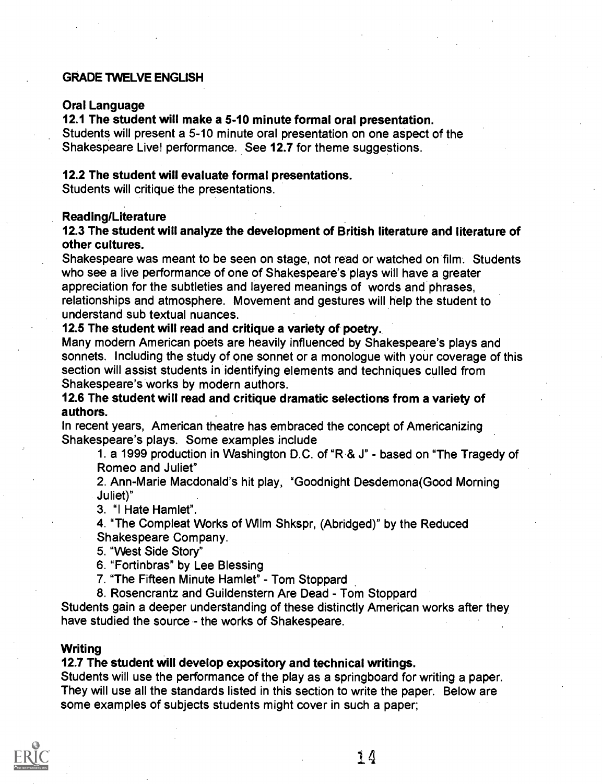## GRADE 'TWELVE ENGLISH

## Oral Language

12.1 The student will make a 5-10 minute formal oral presentation.

Students will present a 5-10 minute oral presentation on one aspect of the Shakespeare Live! performance. See 12.7 for theme suggestions.

## 12.2 The student will evaluate formal presentations.

Students will critique the presentations.

### Reading/Literature

## 12.3 The student will analyze the development of British literature and literature of other cultures.

Shakespeare was meant to be seen on stage, not read or watched on film. Students who see a live performance of one of Shakespeare's plays will have a greater appreciation for the subtleties and layered meanings of words and phrases, relationships and atmosphere. Movement and gestures will help the student to understand sub textual nuances.

## 12.5 The student will read and critique a variety of poetry.

Many modern American poets are heavily influenced by Shakespeare's plays and sonnets. Including the study of one sonnet or a monologue with your coverage of this section will assist students in identifying elements and techniques culled from Shakespeare's works by modern authors.

## 12.6 The student will read and critique dramatic selections from a variety of authors.

In recent years, American theatre has embraced the concept of Americanizing Shakespeare's plays. Some examples include

1. a 1999 production in Washington D.C. of "R & J" - based on "The Tragedy of Romeo and Juliet"

2. Ann-Marie Macdonald's hit play, "Goodnight Desdemona(Good Morning Juliet)"

3. "I Hate Hamlet".

4. "The Compleat Works of WIlm Shkspr, (Abridged)" by the Reduced Shakespeare Company.

5. "West Side Story"

6. "Fortinbras" by Lee Blessing

7. "The Fifteen Minute Hamlet" - Tom Stoppard

8. Rosencrantz and Guildenstern Are Dead - Tom Stoppard

Students gain a deeper understanding of these distinctly American works after they have studied the source - the works of Shakespeare.

#### Writing

#### 12.7 The student will develop expository and technical writings.

Students will use the performance of the play as a springboard for writing a paper. They will use all the standards listed in this section to write the paper. Below are some examples of subjects students might cover in such a paper;

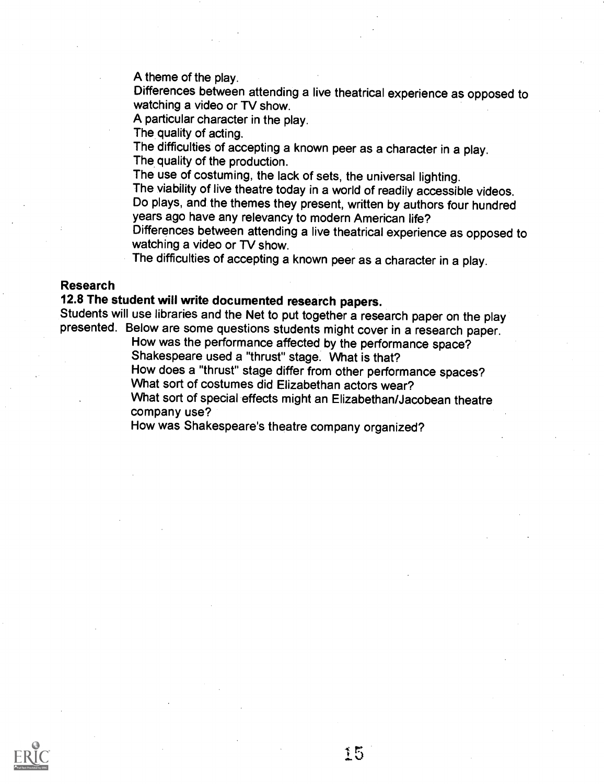A theme of the play.

Differences between attending a live theatrical experience as opposed to watching a video or TV show.

A particular character in the play.

The quality of acting.

The difficulties of accepting a known peer as a character in a play. The quality of the production.

The use of costuming, the lack of sets, the universal lighting.

The viability of live theatre today in a world of readily accessible videos. Do plays, and the themes they present, written by authors four hundred years ago have any relevancy to modern American life?

Differences between attending a live theatrical experience as opposed to watching a video or TV show.

The difficulties of accepting a known peer as a character in a play.

## Research

## 12.8 The student will write documented research papers.

Students will use libraries and the Net to put together a research paper on the play presented. Below are some questions students might cover in a research paper.

How was the performance affected by the performance space? Shakespeare used a "thrust" stage. What is that?

How does a "thrust" stage differ from other performance spaces? What sort of costumes did Elizabethan actors wear?

What sort of special effects might an Elizabethan/Jacobean theatre company use?

15

How was Shakespeare's theatre company organized?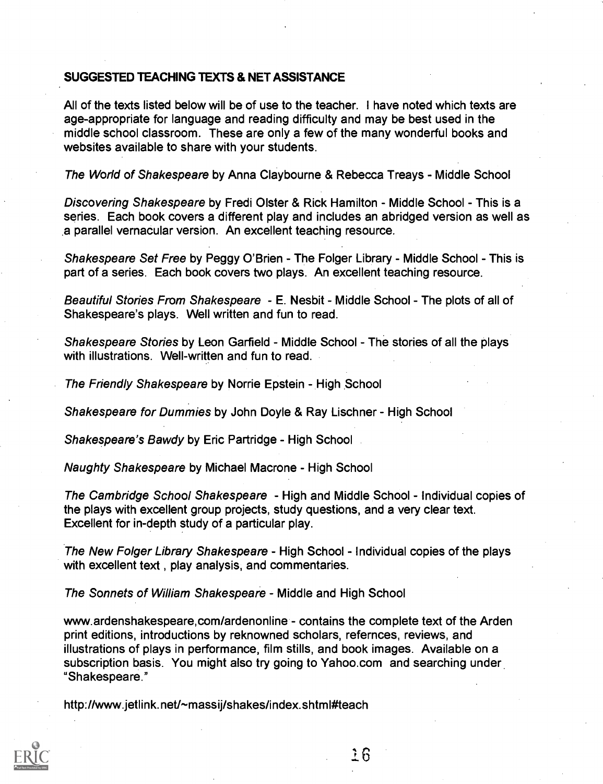## SUGGESTED TEACHING TEXTS & NET ASSISTANCE

All of the texts listed below will be of use to the teacher. I have noted which texts are age-appropriate for language and reading difficulty and may be best used in the middle school classroom. These are only a few of the many wonderful books and websites available to share with your students.

The World of Shakespeare by Anna Claybourne & Rebecca Treays - Middle School

Discovering Shakespeare by Fredi Olster & Rick Hamilton - Middle School - This is a series. Each book covers a different play and includes an abridged version as well as a parallel vernacular version. An excellent teaching resource.

Shakespeare Set Free by Peggy O'Brien - The Folger Library - Middle School - This is part of a series. Each book covers two plays. An excellent teaching resource.

Beautiful Stories From Shakespeare - E. Nesbit - Middle School - The plots of all of Shakespeare's plays. Well written and fun to read.

Shakespeare Stories by Leon Garfield - Middle School - The stories of all the plays with illustrations. Well-written and fun to read.

The Friendly Shakespeare by Norrie Epstein - High School

Shakespeare for Dummies by John Doyle & Ray Lischner - High School

Shakespeare's Bawdy by Eric Partridge - High School

Naughty Shakespeare by Michael Macrone - High School

The Cambridge School Shakespeare - High and Middle School - Individual copies of the plays with excellent group projects, study questions, and a very clear text. Excellent for in-depth study of a particular play.

The New Folger Library Shakespeare - High School - Individual copies of the plays with excellent text , play analysis, and commentaries.

The Sonnets of William Shakespeare - Middle and High School

www.ardenshakespeare,com/ardenonline - contains the complete text of the Arden print editions, introductions by reknowned scholars, refernces, reviews, and illustrations of plays in performance, film stills, and book images. Available on a subscription basis. You might also try going to Yahoo.com and searching under "Shakespeare."

http://www.jetlink.net/~massij/shakes/index.shtml#teach

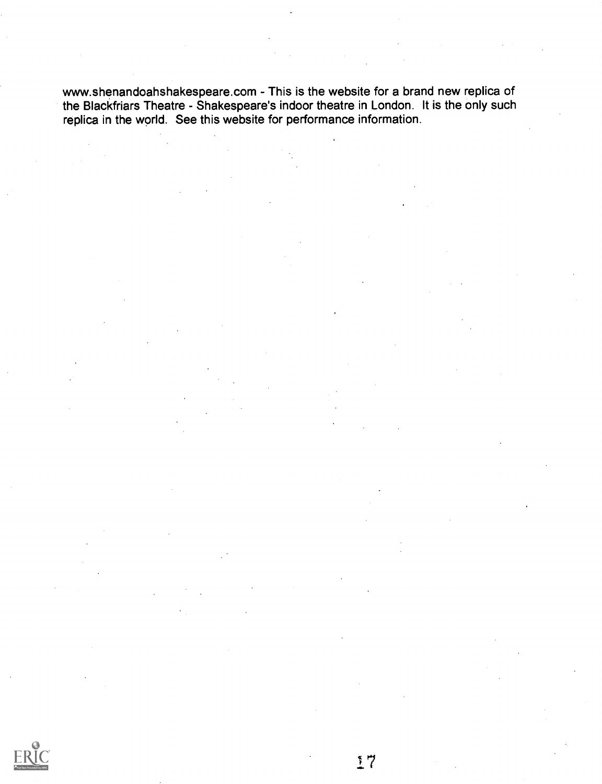www.shenandoahshakespeare.com - This is the website for a brand new replica of the Blackfriars Theatre - Shakespeare's indoor theatre in London. It is the only such replica in the world. See this website for performance information.